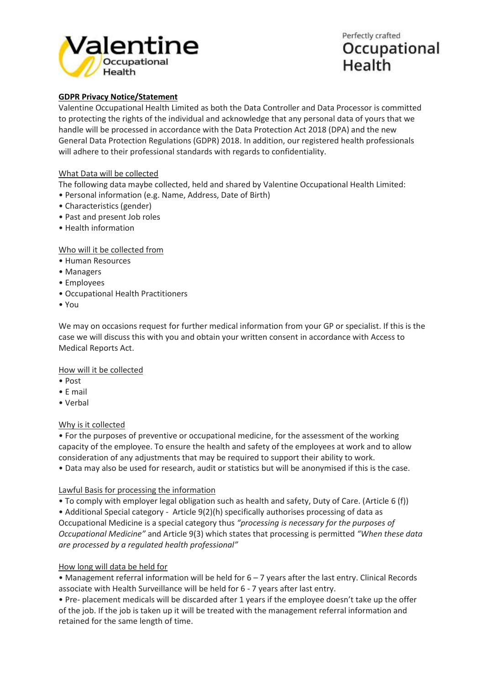

Perfectly crafted Occupational Health

# **GDPR Privacy Notice/Statement**

Valentine Occupational Health Limited as both the Data Controller and Data Processor is committed to protecting the rights of the individual and acknowledge that any personal data of yours that we handle will be processed in accordance with the Data Protection Act 2018 (DPA) and the new General Data Protection Regulations (GDPR) 2018. In addition, our registered health professionals will adhere to their professional standards with regards to confidentiality.

# What Data will be collected

The following data maybe collected, held and shared by Valentine Occupational Health Limited:

- Personal information (e.g. Name, Address, Date of Birth)
- Characteristics (gender)
- Past and present Job roles
- Health information

Who will it be collected from

- Human Resources
- Managers
- Employees
- Occupational Health Practitioners
- You

We may on occasions request for further medical information from your GP or specialist. If this is the case we will discuss this with you and obtain your written consent in accordance with Access to Medical Reports Act.

How will it be collected

- Post
- E mail
- Verbal

#### Why is it collected

• For the purposes of preventive or occupational medicine, for the assessment of the working capacity of the employee. To ensure the health and safety of the employees at work and to allow consideration of any adjustments that may be required to support their ability to work.

• Data may also be used for research, audit or statistics but will be anonymised if this is the case.

# Lawful Basis for processing the information

• To comply with employer legal obligation such as health and safety, Duty of Care. (Article 6 (f))

• Additional Special category - Article 9(2)(h) specifically authorises processing of data as

Occupational Medicine is a special category thus *"processing is necessary for the purposes of Occupational Medicine"* and Article 9(3) which states that processing is permitted *"When these data are processed by a regulated health professional"*

#### How long will data be held for

• Management referral information will be held for 6 – 7 years after the last entry. Clinical Records associate with Health Surveillance will be held for 6 - 7 years after last entry.

• Pre- placement medicals will be discarded after 1 years if the employee doesn't take up the offer of the job. If the job is taken up it will be treated with the management referral information and retained for the same length of time.